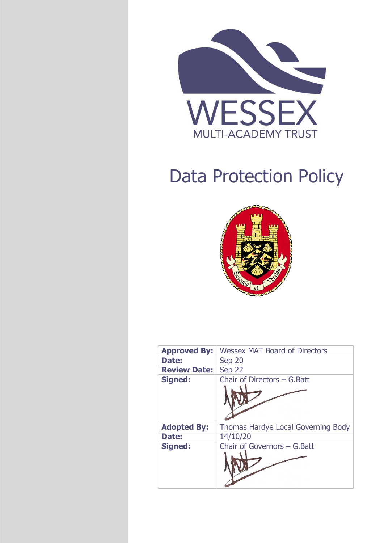

# Data Protection Policy



| <b>Approved By:</b> | <b>Wessex MAT Board of Directors</b> |
|---------------------|--------------------------------------|
| Date:               | Sep 20                               |
| <b>Review Date:</b> | Sep 22                               |
| <b>Signed:</b>      | Chair of Directors - G. Batt         |
|                     |                                      |
| <b>Adopted By:</b>  | Thomas Hardye Local Governing Body   |
| Date:               | 14/10/20                             |
| <b>Signed:</b>      | Chair of Governors - G. Batt         |
|                     |                                      |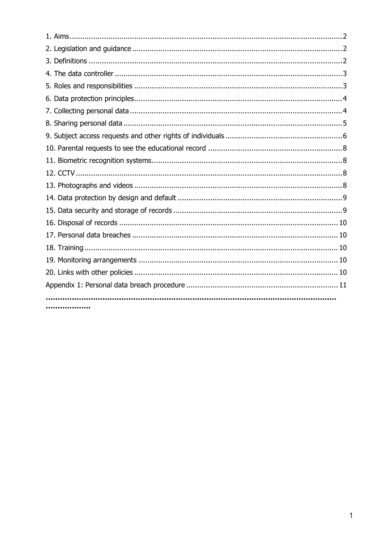| . |  |
|---|--|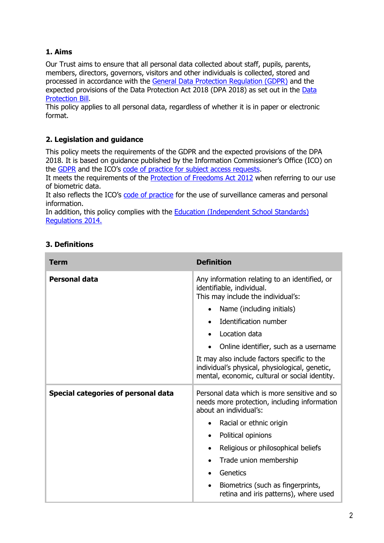# **1. Aims**

Our Trust aims to ensure that all personal data collected about staff, pupils, parents, members, directors, governors, visitors and other individuals is collected, stored and processed in accordance with the [General Data Protection Regulation \(GDPR\)](http://data.consilium.europa.eu/doc/document/ST-5419-2016-INIT/en/pdf) and the expected provisions of the Data Protection Act 2018 (DPA 2018) as set out in the [Data](https://publications.parliament.uk/pa/bills/cbill/2017-2019/0153/18153.pdf)  [Protection Bill.](https://publications.parliament.uk/pa/bills/cbill/2017-2019/0153/18153.pdf)

This policy applies to all personal data, regardless of whether it is in paper or electronic format.

## **2. Legislation and guidance**

This policy meets the requirements of the GDPR and the expected provisions of the DPA 2018. It is based on guidance published by the Information Commissioner's Office (ICO) on the [GDPR](https://ico.org.uk/for-organisations/guide-to-the-general-data-protection-regulation-gdpr/) and the ICO's [code of practice for subject access requests.](https://ico.org.uk/media/for-organisations/documents/2014223/subject-access-code-of-practice.pdf)

It meets the requirements of the [Protection of Freedoms Act 2012](https://www.legislation.gov.uk/ukpga/2012/9/part/1/chapter/2) when referring to our use of biometric data.

It also reflects the ICO's [code of practice](https://ico.org.uk/media/for-organisations/documents/1542/cctv-code-of-practice.pdf) for the use of surveillance cameras and personal information.

In addition, this policy complies with the **Education (Independent School Standards)** [Regulations 2014.](https://www.legislation.gov.uk/uksi/2014/3283/schedule/made)

| <b>Term</b>                                | <b>Definition</b>                                                                                                                                                                                                                                                                                                                                                                                             |
|--------------------------------------------|---------------------------------------------------------------------------------------------------------------------------------------------------------------------------------------------------------------------------------------------------------------------------------------------------------------------------------------------------------------------------------------------------------------|
| <b>Personal data</b>                       | Any information relating to an identified, or<br>identifiable, individual.<br>This may include the individual's:<br>Name (including initials)<br>Identification number<br>$\bullet$<br>Location data<br>$\bullet$<br>Online identifier, such as a username<br>It may also include factors specific to the<br>individual's physical, physiological, genetic,<br>mental, economic, cultural or social identity. |
| <b>Special categories of personal data</b> | Personal data which is more sensitive and so<br>needs more protection, including information<br>about an individual's:<br>Racial or ethnic origin<br>Political opinions<br>$\bullet$<br>Religious or philosophical beliefs<br>Trade union membership<br>Genetics<br>Biometrics (such as fingerprints,<br>retina and iris patterns), where used                                                                |

## **3. Definitions**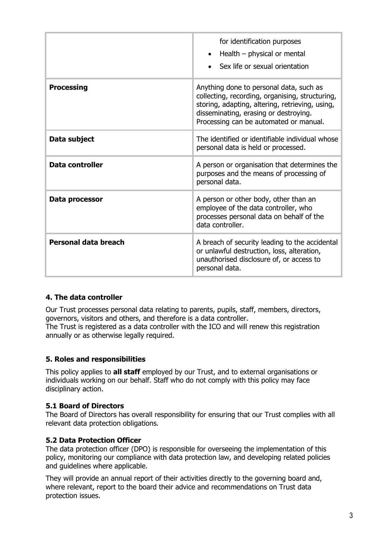|                      | for identification purposes<br>Health $-$ physical or mental<br>$\bullet$<br>Sex life or sexual orientation                                                                                                                      |
|----------------------|----------------------------------------------------------------------------------------------------------------------------------------------------------------------------------------------------------------------------------|
| <b>Processing</b>    | Anything done to personal data, such as<br>collecting, recording, organising, structuring,<br>storing, adapting, altering, retrieving, using,<br>disseminating, erasing or destroying.<br>Processing can be automated or manual. |
| Data subject         | The identified or identifiable individual whose<br>personal data is held or processed.                                                                                                                                           |
| Data controller      | A person or organisation that determines the<br>purposes and the means of processing of<br>personal data.                                                                                                                        |
| Data processor       | A person or other body, other than an<br>employee of the data controller, who<br>processes personal data on behalf of the<br>data controller.                                                                                    |
| Personal data breach | A breach of security leading to the accidental<br>or unlawful destruction, loss, alteration,<br>unauthorised disclosure of, or access to<br>personal data.                                                                       |

#### **4. The data controller**

Our Trust processes personal data relating to parents, pupils, staff, members, directors, governors, visitors and others, and therefore is a data controller. The Trust is registered as a data controller with the ICO and will renew this registration annually or as otherwise legally required.

#### **5. Roles and responsibilities**

This policy applies to **all staff** employed by our Trust, and to external organisations or individuals working on our behalf. Staff who do not comply with this policy may face disciplinary action.

#### **5.1 Board of Directors**

The Board of Directors has overall responsibility for ensuring that our Trust complies with all relevant data protection obligations.

#### **5.2 Data Protection Officer**

The data protection officer (DPO) is responsible for overseeing the implementation of this policy, monitoring our compliance with data protection law, and developing related policies and guidelines where applicable.

They will provide an annual report of their activities directly to the governing board and, where relevant, report to the board their advice and recommendations on Trust data protection issues.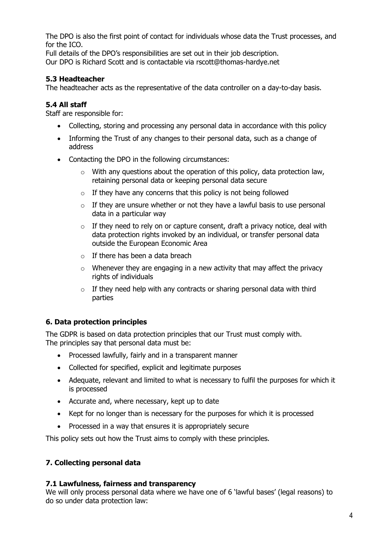The DPO is also the first point of contact for individuals whose data the Trust processes, and for the ICO.

Full details of the DPO's responsibilities are set out in their job description. Our DPO is Richard Scott and is contactable via rscott@thomas-hardye.net

## **5.3 Headteacher**

The headteacher acts as the representative of the data controller on a day-to-day basis.

## **5.4 All staff**

Staff are responsible for:

- Collecting, storing and processing any personal data in accordance with this policy
- Informing the Trust of any changes to their personal data, such as a change of address
- Contacting the DPO in the following circumstances:
	- $\circ$  With any questions about the operation of this policy, data protection law, retaining personal data or keeping personal data secure
	- $\circ$  If they have any concerns that this policy is not being followed
	- $\circ$  If they are unsure whether or not they have a lawful basis to use personal data in a particular way
	- $\circ$  If they need to rely on or capture consent, draft a privacy notice, deal with data protection rights invoked by an individual, or transfer personal data outside the European Economic Area
	- $\circ$  If there has been a data breach
	- $\circ$  Whenever they are engaging in a new activity that may affect the privacy rights of individuals
	- $\circ$  If they need help with any contracts or sharing personal data with third parties

# **6. Data protection principles**

The GDPR is based on data protection principles that our Trust must comply with. The principles say that personal data must be:

- Processed lawfully, fairly and in a transparent manner
- Collected for specified, explicit and legitimate purposes
- Adequate, relevant and limited to what is necessary to fulfil the purposes for which it is processed
- Accurate and, where necessary, kept up to date
- Kept for no longer than is necessary for the purposes for which it is processed
- Processed in a way that ensures it is appropriately secure

This policy sets out how the Trust aims to comply with these principles.

# **7. Collecting personal data**

## **7.1 Lawfulness, fairness and transparency**

We will only process personal data where we have one of 6 'lawful bases' (legal reasons) to do so under data protection law: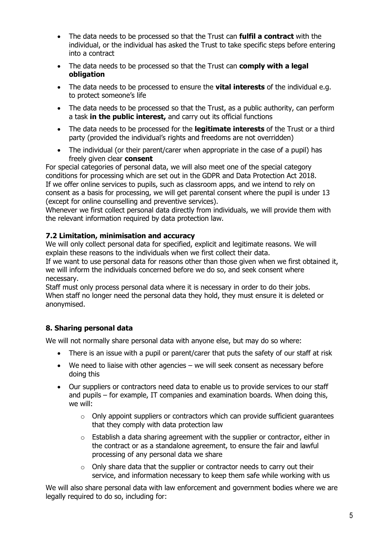- The data needs to be processed so that the Trust can **fulfil a contract** with the individual, or the individual has asked the Trust to take specific steps before entering into a contract
- The data needs to be processed so that the Trust can **comply with a legal obligation**
- The data needs to be processed to ensure the **vital interests** of the individual e.g. to protect someone's life
- The data needs to be processed so that the Trust, as a public authority, can perform a task **in the public interest,** and carry out its official functions
- The data needs to be processed for the **legitimate interests** of the Trust or a third party (provided the individual's rights and freedoms are not overridden)
- The individual (or their parent/carer when appropriate in the case of a pupil) has freely given clear **consent**

For special categories of personal data, we will also meet one of the special category conditions for processing which are set out in the GDPR and Data Protection Act 2018. If we offer online services to pupils, such as classroom apps, and we intend to rely on consent as a basis for processing, we will get parental consent where the pupil is under 13 (except for online counselling and preventive services).

Whenever we first collect personal data directly from individuals, we will provide them with the relevant information required by data protection law.

## **7.2 Limitation, minimisation and accuracy**

We will only collect personal data for specified, explicit and legitimate reasons. We will explain these reasons to the individuals when we first collect their data.

If we want to use personal data for reasons other than those given when we first obtained it, we will inform the individuals concerned before we do so, and seek consent where necessary.

Staff must only process personal data where it is necessary in order to do their jobs. When staff no longer need the personal data they hold, they must ensure it is deleted or anonymised.

## **8. Sharing personal data**

We will not normally share personal data with anyone else, but may do so where:

- There is an issue with a pupil or parent/carer that puts the safety of our staff at risk
- We need to liaise with other agencies we will seek consent as necessary before doing this
- Our suppliers or contractors need data to enable us to provide services to our staff and pupils – for example, IT companies and examination boards. When doing this, we will:
	- $\circ$  Only appoint suppliers or contractors which can provide sufficient quarantees that they comply with data protection law
	- o Establish a data sharing agreement with the supplier or contractor, either in the contract or as a standalone agreement, to ensure the fair and lawful processing of any personal data we share
	- $\circ$  Only share data that the supplier or contractor needs to carry out their service, and information necessary to keep them safe while working with us

We will also share personal data with law enforcement and government bodies where we are legally required to do so, including for: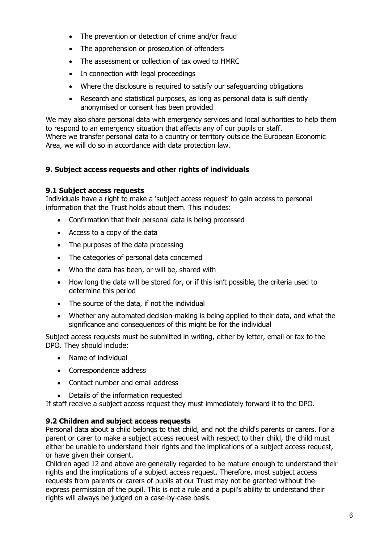- The prevention or detection of crime and/or fraud
- The apprehension or prosecution of offenders
- The assessment or collection of tax owed to HMRC
- In connection with legal proceedings
- Where the disclosure is required to satisfy our safeguarding obligations
- Research and statistical purposes, as long as personal data is sufficiently anonymised or consent has been provided

We may also share personal data with emergency services and local authorities to help them to respond to an emergency situation that affects any of our pupils or staff. Where we transfer personal data to a country or territory outside the European Economic Area, we will do so in accordance with data protection law.

## **9. Subject access requests and other rights of individuals**

#### **9.1 Subject access requests**

Individuals have a right to make a 'subject access request' to gain access to personal information that the Trust holds about them. This includes:

- Confirmation that their personal data is being processed
- Access to a copy of the data
- The purposes of the data processing
- The categories of personal data concerned
- Who the data has been, or will be, shared with
- How long the data will be stored for, or if this isn't possible, the criteria used to determine this period
- The source of the data, if not the individual
- Whether any automated decision-making is being applied to their data, and what the significance and consequences of this might be for the individual

Subject access requests must be submitted in writing, either by letter, email or fax to the DPO. They should include:

- Name of individual
- Correspondence address
- Contact number and email address
- Details of the information requested

If staff receive a subject access request they must immediately forward it to the DPO.

#### **9.2 Children and subject access requests**

Personal data about a child belongs to that child, and not the child's parents or carers. For a parent or carer to make a subject access request with respect to their child, the child must either be unable to understand their rights and the implications of a subject access request, or have given their consent.

Children aged 12 and above are generally regarded to be mature enough to understand their rights and the implications of a subject access request. Therefore, most subject access requests from parents or carers of pupils at our Trust may not be granted without the express permission of the pupil. This is not a rule and a pupil's ability to understand their rights will always be judged on a case-by-case basis.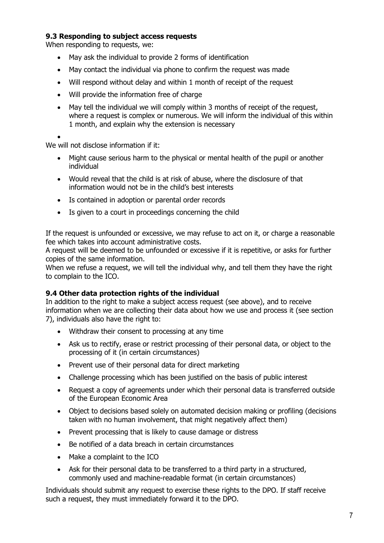### **9.3 Responding to subject access requests**

When responding to requests, we:

- May ask the individual to provide 2 forms of identification
- May contact the individual via phone to confirm the request was made
- Will respond without delay and within 1 month of receipt of the request
- Will provide the information free of charge
- May tell the individual we will comply within 3 months of receipt of the request, where a request is complex or numerous. We will inform the individual of this within 1 month, and explain why the extension is necessary

•

We will not disclose information if it:

- Might cause serious harm to the physical or mental health of the pupil or another individual
- Would reveal that the child is at risk of abuse, where the disclosure of that information would not be in the child's best interests
- Is contained in adoption or parental order records
- Is given to a court in proceedings concerning the child

If the request is unfounded or excessive, we may refuse to act on it, or charge a reasonable fee which takes into account administrative costs.

A request will be deemed to be unfounded or excessive if it is repetitive, or asks for further copies of the same information.

When we refuse a request, we will tell the individual why, and tell them they have the right to complain to the ICO.

#### **9.4 Other data protection rights of the individual**

In addition to the right to make a subject access request (see above), and to receive information when we are collecting their data about how we use and process it (see section 7), individuals also have the right to:

- Withdraw their consent to processing at any time
- Ask us to rectify, erase or restrict processing of their personal data, or object to the processing of it (in certain circumstances)
- Prevent use of their personal data for direct marketing
- Challenge processing which has been justified on the basis of public interest
- Request a copy of agreements under which their personal data is transferred outside of the European Economic Area
- Object to decisions based solely on automated decision making or profiling (decisions taken with no human involvement, that might negatively affect them)
- Prevent processing that is likely to cause damage or distress
- Be notified of a data breach in certain circumstances
- Make a complaint to the ICO
- Ask for their personal data to be transferred to a third party in a structured, commonly used and machine-readable format (in certain circumstances)

Individuals should submit any request to exercise these rights to the DPO. If staff receive such a request, they must immediately forward it to the DPO.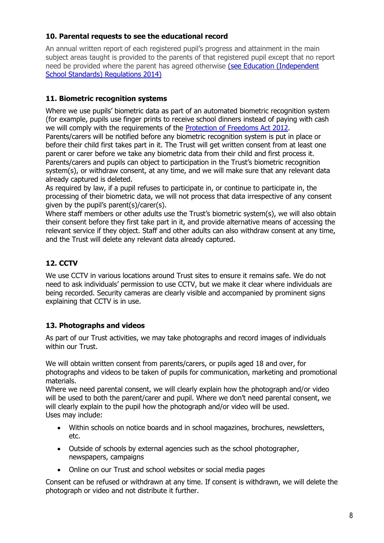## **10. Parental requests to see the educational record**

An annual written report of each registered pupil's progress and attainment in the main subject areas taught is provided to the parents of that registered pupil except that no report need be provided where the parent has agreed otherwise [\(see Education \(Independent](https://www.legislation.gov.uk/uksi/2014/3283/schedule/made)  [School Standards\) Regulations 2014\)](https://www.legislation.gov.uk/uksi/2014/3283/schedule/made)

# **11. Biometric recognition systems**

Where we use pupils' biometric data as part of an automated biometric recognition system (for example, pupils use finger prints to receive school dinners instead of paying with cash we will comply with the requirements of the [Protection of Freedoms Act 2012.](https://www.legislation.gov.uk/ukpga/2012/9/section/26) Parents/carers will be notified before any biometric recognition system is put in place or before their child first takes part in it. The Trust will get written consent from at least one parent or carer before we take any biometric data from their child and first process it. Parents/carers and pupils can object to participation in the Trust's biometric recognition system(s), or withdraw consent, at any time, and we will make sure that any relevant data already captured is deleted.

As required by law, if a pupil refuses to participate in, or continue to participate in, the processing of their biometric data, we will not process that data irrespective of any consent given by the pupil's parent(s)/carer(s).

Where staff members or other adults use the Trust's biometric system(s), we will also obtain their consent before they first take part in it, and provide alternative means of accessing the relevant service if they object. Staff and other adults can also withdraw consent at any time, and the Trust will delete any relevant data already captured.

# **12. CCTV**

We use CCTV in various locations around Trust sites to ensure it remains safe. We do not need to ask individuals' permission to use CCTV, but we make it clear where individuals are being recorded. Security cameras are clearly visible and accompanied by prominent signs explaining that CCTV is in use.

## **13. Photographs and videos**

As part of our Trust activities, we may take photographs and record images of individuals within our Trust.

We will obtain written consent from parents/carers, or pupils aged 18 and over, for photographs and videos to be taken of pupils for communication, marketing and promotional materials.

Where we need parental consent, we will clearly explain how the photograph and/or video will be used to both the parent/carer and pupil. Where we don't need parental consent, we will clearly explain to the pupil how the photograph and/or video will be used. Uses may include:

- Within schools on notice boards and in school magazines, brochures, newsletters, etc.
- Outside of schools by external agencies such as the school photographer, newspapers, campaigns
- Online on our Trust and school websites or social media pages

Consent can be refused or withdrawn at any time. If consent is withdrawn, we will delete the photograph or video and not distribute it further.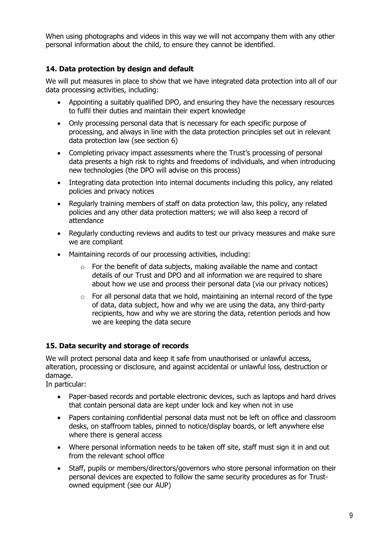When using photographs and videos in this way we will not accompany them with any other personal information about the child, to ensure they cannot be identified.

## **14. Data protection by design and default**

We will put measures in place to show that we have integrated data protection into all of our data processing activities, including:

- Appointing a suitably qualified DPO, and ensuring they have the necessary resources to fulfil their duties and maintain their expert knowledge
- Only processing personal data that is necessary for each specific purpose of processing, and always in line with the data protection principles set out in relevant data protection law (see section 6)
- Completing privacy impact assessments where the Trust's processing of personal data presents a high risk to rights and freedoms of individuals, and when introducing new technologies (the DPO will advise on this process)
- Integrating data protection into internal documents including this policy, any related policies and privacy notices
- Regularly training members of staff on data protection law, this policy, any related policies and any other data protection matters; we will also keep a record of attendance
- Regularly conducting reviews and audits to test our privacy measures and make sure we are compliant
- Maintaining records of our processing activities, including:
	- $\circ$  For the benefit of data subjects, making available the name and contact details of our Trust and DPO and all information we are required to share about how we use and process their personal data (via our privacy notices)
	- $\circ$  For all personal data that we hold, maintaining an internal record of the type of data, data subject, how and why we are using the data, any third-party recipients, how and why we are storing the data, retention periods and how we are keeping the data secure

## **15. Data security and storage of records**

We will protect personal data and keep it safe from unauthorised or unlawful access. alteration, processing or disclosure, and against accidental or unlawful loss, destruction or damage.

In particular:

- Paper-based records and portable electronic devices, such as laptops and hard drives that contain personal data are kept under lock and key when not in use
- Papers containing confidential personal data must not be left on office and classroom desks, on staffroom tables, pinned to notice/display boards, or left anywhere else where there is general access
- Where personal information needs to be taken off site, staff must sign it in and out from the relevant school office
- Staff, pupils or members/directors/governors who store personal information on their personal devices are expected to follow the same security procedures as for Trustowned equipment (see our AUP)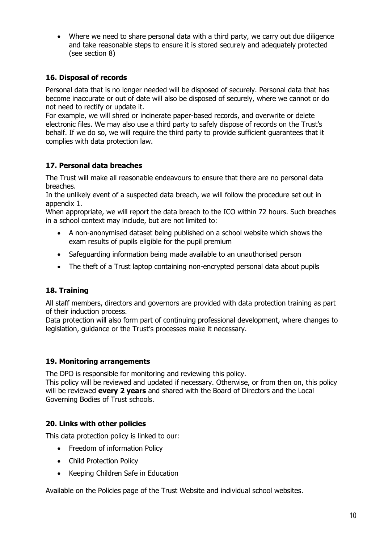• Where we need to share personal data with a third party, we carry out due diligence and take reasonable steps to ensure it is stored securely and adequately protected (see section 8)

## **16. Disposal of records**

Personal data that is no longer needed will be disposed of securely. Personal data that has become inaccurate or out of date will also be disposed of securely, where we cannot or do not need to rectify or update it.

For example, we will shred or incinerate paper-based records, and overwrite or delete electronic files. We may also use a third party to safely dispose of records on the Trust's behalf. If we do so, we will require the third party to provide sufficient guarantees that it complies with data protection law.

## **17. Personal data breaches**

The Trust will make all reasonable endeavours to ensure that there are no personal data breaches.

In the unlikely event of a suspected data breach, we will follow the procedure set out in appendix 1.

When appropriate, we will report the data breach to the ICO within 72 hours. Such breaches in a school context may include, but are not limited to:

- A non-anonymised dataset being published on a school website which shows the exam results of pupils eligible for the pupil premium
- Safeguarding information being made available to an unauthorised person
- The theft of a Trust laptop containing non-encrypted personal data about pupils

## **18. Training**

All staff members, directors and governors are provided with data protection training as part of their induction process.

Data protection will also form part of continuing professional development, where changes to legislation, guidance or the Trust's processes make it necessary.

#### **19. Monitoring arrangements**

The DPO is responsible for monitoring and reviewing this policy.

This policy will be reviewed and updated if necessary. Otherwise, or from then on, this policy will be reviewed **every 2 years** and shared with the Board of Directors and the Local Governing Bodies of Trust schools.

## **20. Links with other policies**

This data protection policy is linked to our:

- Freedom of information Policy
- Child Protection Policy
- Keeping Children Safe in Education

Available on the Policies page of the Trust Website and individual school websites.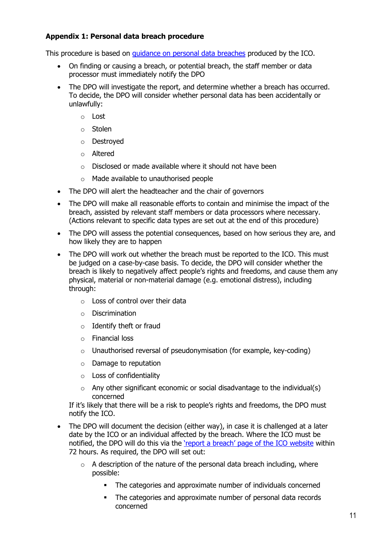## **Appendix 1: Personal data breach procedure**

This procedure is based on [guidance on personal data breaches](https://ico.org.uk/for-organisations/guide-to-the-general-data-protection-regulation-gdpr/personal-data-breaches/) produced by the ICO.

- On finding or causing a breach, or potential breach, the staff member or data processor must immediately notify the DPO
- The DPO will investigate the report, and determine whether a breach has occurred. To decide, the DPO will consider whether personal data has been accidentally or unlawfully:
	- o Lost
	- o Stolen
	- o Destroyed
	- o Altered
	- o Disclosed or made available where it should not have been
	- o Made available to unauthorised people
- The DPO will alert the headteacher and the chair of governors
- The DPO will make all reasonable efforts to contain and minimise the impact of the breach, assisted by relevant staff members or data processors where necessary. (Actions relevant to specific data types are set out at the end of this procedure)
- The DPO will assess the potential consequences, based on how serious they are, and how likely they are to happen
- The DPO will work out whether the breach must be reported to the ICO. This must be judged on a case-by-case basis. To decide, the DPO will consider whether the breach is likely to negatively affect people's rights and freedoms, and cause them any physical, material or non-material damage (e.g. emotional distress), including through:
	- $\circ$  Loss of control over their data
	- o Discrimination
	- $\circ$  Identify theft or fraud
	- o Financial loss
	- o Unauthorised reversal of pseudonymisation (for example, key-coding)
	- o Damage to reputation
	- o Loss of confidentiality
	- $\circ$  Any other significant economic or social disadvantage to the individual(s) concerned

If it's likely that there will be a risk to people's rights and freedoms, the DPO must notify the ICO.

- The DPO will document the decision (either way), in case it is challenged at a later date by the ICO or an individual affected by the breach. Where the ICO must be notified, the DPO will do this via the ['report a breach' page of the ICO website](https://ico.org.uk/for-organisations/report-a-breach/) within 72 hours. As required, the DPO will set out:
	- $\circ$  A description of the nature of the personal data breach including, where possible:
		- The categories and approximate number of individuals concerned
		- **•** The categories and approximate number of personal data records concerned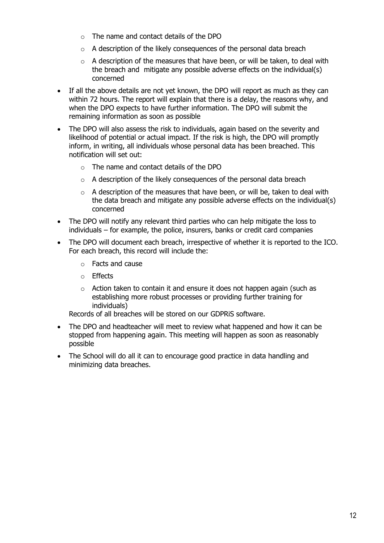- $\circ$  The name and contact details of the DPO
- $\circ$  A description of the likely consequences of the personal data breach
- $\circ$  A description of the measures that have been, or will be taken, to deal with the breach and mitigate any possible adverse effects on the individual(s) concerned
- If all the above details are not yet known, the DPO will report as much as they can within 72 hours. The report will explain that there is a delay, the reasons why, and when the DPO expects to have further information. The DPO will submit the remaining information as soon as possible
- The DPO will also assess the risk to individuals, again based on the severity and likelihood of potential or actual impact. If the risk is high, the DPO will promptly inform, in writing, all individuals whose personal data has been breached. This notification will set out:
	- o The name and contact details of the DPO
	- o A description of the likely consequences of the personal data breach
	- $\circ$  A description of the measures that have been, or will be, taken to deal with the data breach and mitigate any possible adverse effects on the individual(s) concerned
- The DPO will notify any relevant third parties who can help mitigate the loss to individuals – for example, the police, insurers, banks or credit card companies
- The DPO will document each breach, irrespective of whether it is reported to the ICO. For each breach, this record will include the:
	- o Facts and cause
	- o Effects
	- o Action taken to contain it and ensure it does not happen again (such as establishing more robust processes or providing further training for individuals)

Records of all breaches will be stored on our GDPRiS software.

- The DPO and headteacher will meet to review what happened and how it can be stopped from happening again. This meeting will happen as soon as reasonably possible
- The School will do all it can to encourage good practice in data handling and minimizing data breaches.